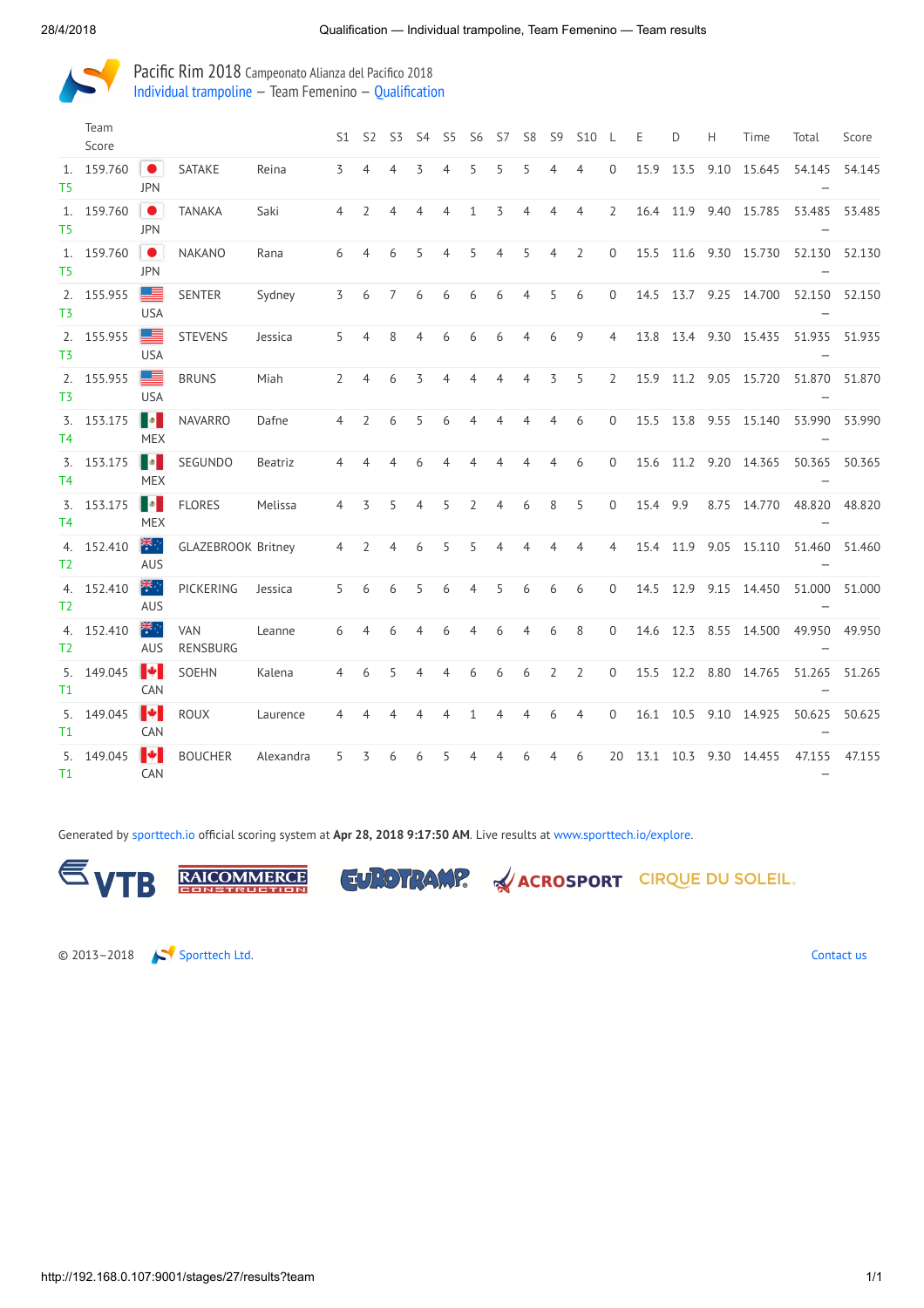

Pacific Rim 2018 Campeonato Alianza del Pacifico 2018 Individual [trampoline](http://192.168.0.107:9001/event/TRA) — Team Femenino — [Qualification](http://192.168.0.107:9001/stages/27)

|                | Team<br>Score |                                  |                           |           | S1             | -S2            | S3             | S4             | S5             | S6           | S7             | S <sub>8</sub> | S <sub>9</sub> | <b>S10</b>     |                | Ε    | D    | H    | Time                  | Total                              | Score  |
|----------------|---------------|----------------------------------|---------------------------|-----------|----------------|----------------|----------------|----------------|----------------|--------------|----------------|----------------|----------------|----------------|----------------|------|------|------|-----------------------|------------------------------------|--------|
| T5             | 1. 159.760    | $\bullet$<br><b>JPN</b>          | SATAKE                    | Reina     | 3              | 4              | 4              | 3              | 4              | 5            | 5              | 5              | 4              | 4              | $\mathbf{0}$   | 15.9 | 13.5 |      | 9.10 15.645           | 54.145                             | 54.145 |
| T5             | 1. 159.760    | $\bullet$<br><b>JPN</b>          | <b>TANAKA</b>             | Saki      | 4              | 2              | 4              | 4              | 4              | $\mathbf{1}$ | 3              | 4              | 4              | $\overline{4}$ | 2              | 16.4 | 11.9 |      | 9.40 15.785           | 53.485                             | 53.485 |
| T <sub>5</sub> | 1. 159.760    | 1●1<br><b>JPN</b>                | <b>NAKANO</b>             | Rana      | 6              | $\overline{4}$ | 6              | 5              | $\overline{4}$ | 5            | $\overline{4}$ | 5              | $\overline{4}$ | $\overline{2}$ | $\Omega$       | 15.5 |      |      | 11.6 9.30 15.730      | 52.130 52.130                      |        |
| T3             | 2. 155.955    | ▆▆<br><b>USA</b>                 | SENTER                    | Sydney    | 3              | 6              | 7              | 6              | 6              | 6            | 6              | 4              | 5              | 6              | $\mathbf 0$    | 14.5 | 13.7 |      | 9.25 14.700           | 52.150 52.150                      |        |
| T3             | 2. 155.955    | 투<br><b>USA</b>                  | <b>STEVENS</b>            | Jessica   | 5              | $\overline{4}$ | 8              | 4              | 6              | 6            | 6              | $\overline{4}$ | 6              | 9              | 4              | 13.8 | 13.4 |      | 9.30 15.435           | 51.935                             | 51.935 |
| T3             | 2. 155.955    | ▀<br><b>USA</b>                  | <b>BRUNS</b>              | Miah      | $\overline{2}$ | 4              | 6              | 3              | 4              | 4            | 4              | 4              | 3              | 5              | $\overline{2}$ | 15.9 |      |      | 11.2 9.05 15.720      | 51.870 51.870                      |        |
| T4             | 3. 153.175    | Ho<br><b>MEX</b>                 | <b>NAVARRO</b>            | Dafne     | $\overline{4}$ | $\overline{2}$ | 6              | 5              | 6              | 4            |                |                | 4              | 6              | $\Omega$       | 15.5 | 13.8 |      | 9.55 15.140           | 53.990                             | 53.990 |
| T4             | 3. 153.175    | H.<br><b>MEX</b>                 | SEGUNDO                   | Beatriz   | 4              | 4              | 4              | 6              | $\overline{4}$ | 4            | 4              | 4              | 4              | 6              | $\mathbf{0}$   |      |      |      | 15.6 11.2 9.20 14.365 | 50.365                             | 50.365 |
| T4             | 3. 153.175    | <b>I</b> o<br><b>MEX</b>         | <b>FLORES</b>             | Melissa   | $\overline{4}$ | 3              | 5              | $\overline{4}$ | 5              | 2            | 4              | 6              | 8              | 5              | $\mathbf 0$    | 15.4 | 9.9  |      | 8.75 14.770           | 48.820                             | 48.820 |
| T <sub>2</sub> | 4. 152.410    | ्रेलि<br><b>AUS</b>              | <b>GLAZEBROOK Britney</b> |           | $\overline{4}$ | $\overline{2}$ | $\overline{4}$ | 6              | 5              | 5            | 4              |                |                | $\overline{4}$ | $\overline{4}$ | 15.4 | 11.9 | 9.05 | 15.110                | 51.460                             | 51.460 |
| T <sub>2</sub> | 4. 152.410    | $rac{1}{\sqrt{2}}$<br><b>AUS</b> | PICKERING                 | Jessica   | 5              | 6              | 6              | 5              | 6              | 4            | 5              | 6              | 6              | 6              | $\mathbf 0$    | 14.5 | 12.9 |      | 9.15 14.450           | 51.000                             | 51.000 |
| T2             | 4. 152.410    | ्रेंद<br><b>AUS</b>              | <b>VAN</b><br>RENSBURG    | Leanne    | 6              | 4              | 6              | 4              | 6              | 4            | 6              | 4              | 6              | 8              | $\mathbf{0}$   | 14.6 | 12.3 |      | 8.55 14.500           | 49.950                             | 49.950 |
| T1             | 5. 149.045    | $\blacktriangleright$<br>CAN     | <b>SOEHN</b>              | Kalena    | $\overline{4}$ | 6              | 5              | 4              | $\overline{4}$ | 6            | 6              | 6              | $\overline{2}$ | $\overline{2}$ | $\mathbf{0}$   | 15.5 |      |      | 12.2 8.80 14.765      | 51.265 51.265                      |        |
| T1             | 5. 149.045    | $\blacktriangleright$<br>CAN     | <b>ROUX</b>               | Laurence  | 4              | 4              | 4              | $\overline{4}$ | $\overline{4}$ | $\mathbf{1}$ | 4              | 4              | 6              | $\overline{4}$ | $\mathbf{0}$   | 16.1 | 10.5 |      | 9.10 14.925           | 50.625                             | 50.625 |
| T1             | 5. 149.045    | $\blacktriangleright$<br>CAN     | <b>BOUCHER</b>            | Alexandra | 5              | 3              | 6              | 6              | 5              |              |                |                |                | 6              | 20             | 13.1 | 10.3 | 9.30 | 14.455                | 47.155<br>$\overline{\phantom{0}}$ | 47.155 |

Generated by [sporttech.io](https://sporttech.io/) official scoring system at Apr 28, 2018 9:17:50 AM. Live results at [www.sporttech.io/explore.](https://sporttech.io/explore)



**RAICOMMERCE** 



**ACROSPORT** CIRQUE DU SOLEIL.

© 2013–2018 [Sporttech](https://sporttech.io/) Ltd. [Contact](mailto:hafm9jcx@incoming.intercom.io?subject=sporttech.io) us